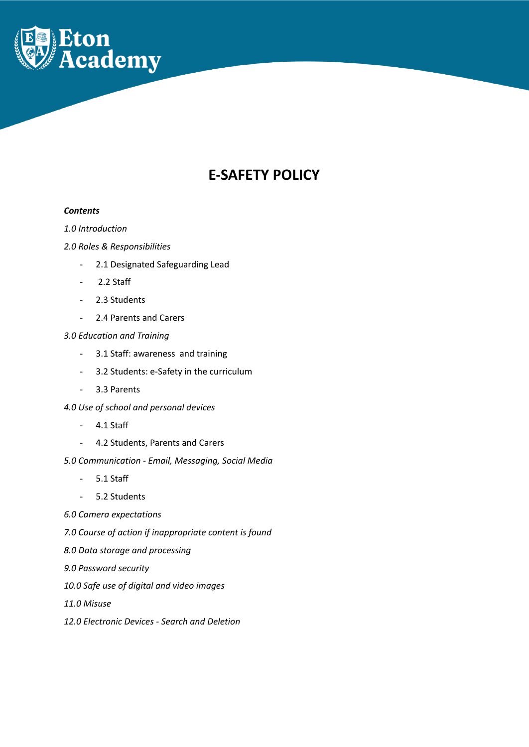

# **E-SAFETY POLICY**

#### *Contents*

# *1.0 Introduction*

# *2.0 Roles & Responsibilities*

- 2.1 Designated Safeguarding Lead
- 2.2 Staff
- 2.3 Students
- 2.4 Parents and Carers

# *3.0 Education and Training*

- 3.1 Staff: awareness and training
- 3.2 Students: e-Safety in the curriculum
- 3.3 Parents
- *4.0 Use of school and personal devices*
	- 4.1 Staff
	- 4.2 Students, Parents and Carers
- *5.0 Communication - Email, Messaging, Social Media*
	- 5.1 Staff
	- 5.2 Students
- *6.0 Camera expectations*
- *7.0 Course of action if inappropriate content is found*
- *8.0 Data storage and processing*
- *9.0 Password security*
- *10.0 Safe use of digital and video images*
- *11.0 Misuse*
- *12.0 Electronic Devices - Search and Deletion*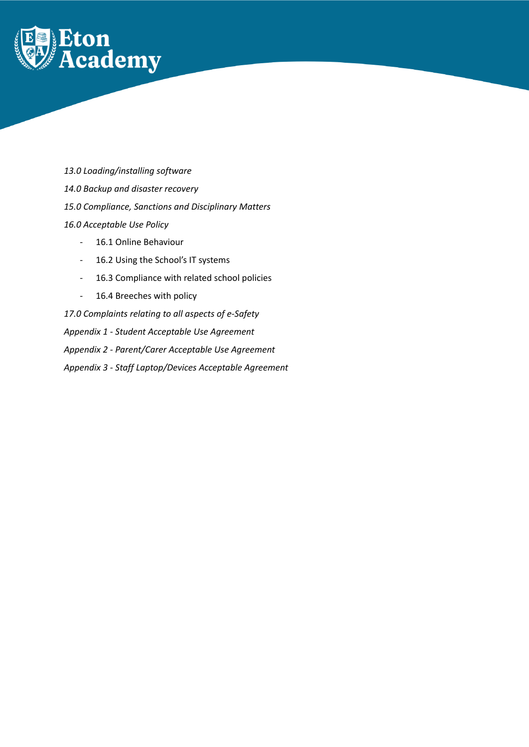

*13.0 Loading/installing software 14.0 Backup and disaster recovery 15.0 Compliance, Sanctions and Disciplinary Matters 16.0 Acceptable Use Policy*

- 16.1 Online Behaviour
- 16.2 Using the School's IT systems
- 16.3 Compliance with related school policies
- 16.4 Breeches with policy

*17.0 Complaints relating to all aspects of e-Safety Appendix 1 - Student Acceptable Use Agreement Appendix 2 - Parent/Carer Acceptable Use Agreement Appendix 3 - Staff Laptop/Devices Acceptable Agreement*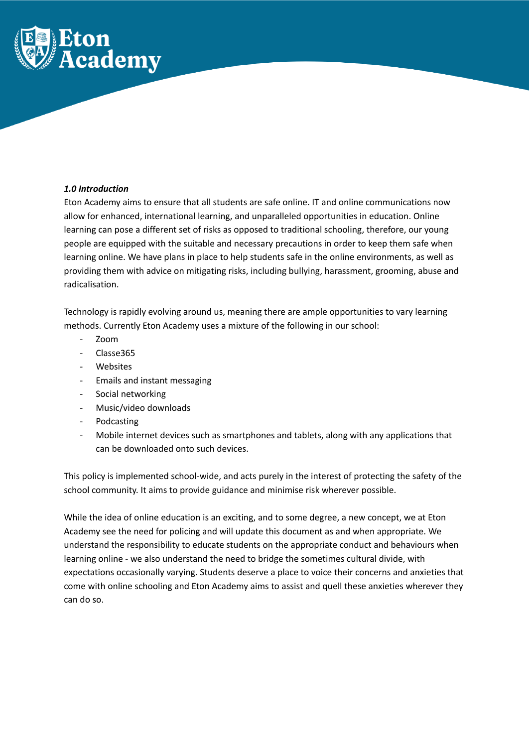

# *1.0 Introduction*

Eton Academy aims to ensure that all students are safe online. IT and online communications now allow for enhanced, international learning, and unparalleled opportunities in education. Online learning can pose a different set of risks as opposed to traditional schooling, therefore, our young people are equipped with the suitable and necessary precautions in order to keep them safe when learning online. We have plans in place to help students safe in the online environments, as well as providing them with advice on mitigating risks, including bullying, harassment, grooming, abuse and radicalisation.

Technology is rapidly evolving around us, meaning there are ample opportunities to vary learning methods. Currently Eton Academy uses a mixture of the following in our school:

- Zoom
- Classe365
- **Websites**
- Emails and instant messaging
- Social networking
- Music/video downloads
- Podcasting
- Mobile internet devices such as smartphones and tablets, along with any applications that can be downloaded onto such devices.

This policy is implemented school-wide, and acts purely in the interest of protecting the safety of the school community. It aims to provide guidance and minimise risk wherever possible.

While the idea of online education is an exciting, and to some degree, a new concept, we at Eton Academy see the need for policing and will update this document as and when appropriate. We understand the responsibility to educate students on the appropriate conduct and behaviours when learning online - we also understand the need to bridge the sometimes cultural divide, with expectations occasionally varying. Students deserve a place to voice their concerns and anxieties that come with online schooling and Eton Academy aims to assist and quell these anxieties wherever they can do so.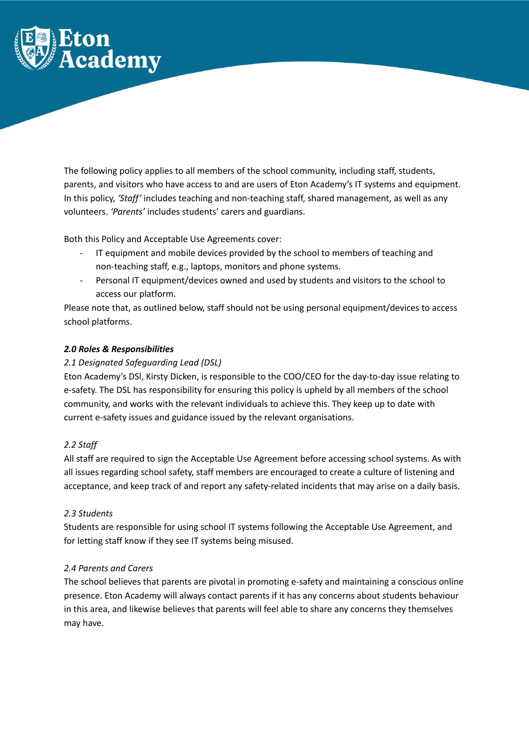

The following policy applies to all members of the school community, including staff, students, parents, and visitors who have access to and are users of Eton Academy's IT systems and equipment. In this policy, *'Staff'* includes teaching and non-teaching staff, shared management, as well as any volunteers. *'Parents'* includes students' carers and guardians.

Both this Policy and Acceptable Use Agreements cover:

- IT equipment and mobile devices provided by the school to members of teaching and non-teaching staff, e.g., laptops, monitors and phone systems.
- Personal IT equipment/devices owned and used by students and visitors to the school to access our platform.

Please note that, as outlined below, staff should not be using personal equipment/devices to access school platforms.

# *2.0 Roles & Responsibilities*

# *2.1 Designated Safeguarding Lead (DSL)*

Eton Academy's DSl, Kirsty Dicken, is responsible to the COO/CEO for the day-to-day issue relating to e-safety. The DSL has responsibility for ensuring this policy is upheld by all members of the school community, and works with the relevant individuals to achieve this. They keep up to date with current e-safety issues and guidance issued by the relevant organisations.

#### *2.2 Staff*

All staff are required to sign the Acceptable Use Agreement before accessing school systems. As with all issues regarding school safety, staff members are encouraged to create a culture of listening and acceptance, and keep track of and report any safety-related incidents that may arise on a daily basis.

#### *2.3 Students*

Students are responsible for using school IT systems following the Acceptable Use Agreement, and for letting staff know if they see IT systems being misused.

#### *2.4 Parents and Carers*

The school believes that parents are pivotal in promoting e-safety and maintaining a conscious online presence. Eton Academy will always contact parents if it has any concerns about students behaviour in this area, and likewise believes that parents will feel able to share any concerns they themselves may have.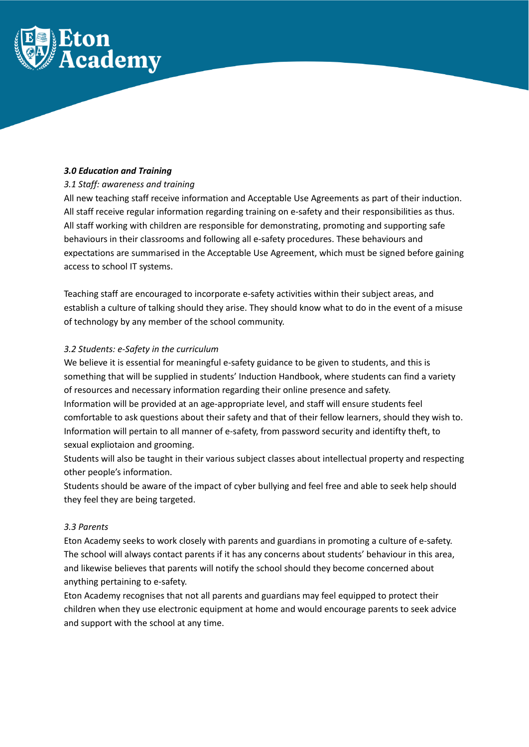

## *3.0 Education and Training*

# *3.1 Staff: awareness and training*

All new teaching staff receive information and Acceptable Use Agreements as part of their induction. All staff receive regular information regarding training on e-safety and their responsibilities as thus. All staff working with children are responsible for demonstrating, promoting and supporting safe behaviours in their classrooms and following all e-safety procedures. These behaviours and expectations are summarised in the Acceptable Use Agreement, which must be signed before gaining access to school IT systems.

Teaching staff are encouraged to incorporate e-safety activities within their subject areas, and establish a culture of talking should they arise. They should know what to do in the event of a misuse of technology by any member of the school community.

# *3.2 Students: e-Safety in the curriculum*

We believe it is essential for meaningful e-safety guidance to be given to students, and this is something that will be supplied in students' Induction Handbook, where students can find a variety of resources and necessary information regarding their online presence and safety. Information will be provided at an age-appropriate level, and staff will ensure students feel comfortable to ask questions about their safety and that of their fellow learners, should they wish to.

Information will pertain to all manner of e-safety, from password security and identifty theft, to sexual expliotaion and grooming.

Students will also be taught in their various subject classes about intellectual property and respecting other people's information.

Students should be aware of the impact of cyber bullying and feel free and able to seek help should they feel they are being targeted.

#### *3.3 Parents*

Eton Academy seeks to work closely with parents and guardians in promoting a culture of e-safety. The school will always contact parents if it has any concerns about students' behaviour in this area, and likewise believes that parents will notify the school should they become concerned about anything pertaining to e-safety.

Eton Academy recognises that not all parents and guardians may feel equipped to protect their children when they use electronic equipment at home and would encourage parents to seek advice and support with the school at any time.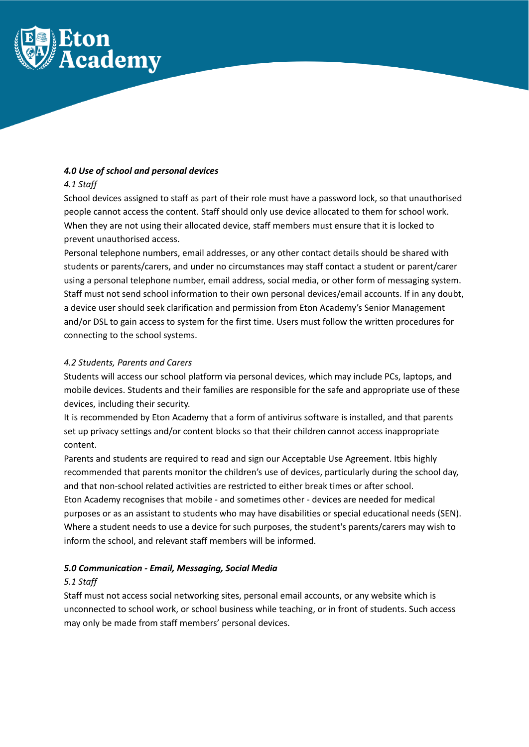

## *4.0 Use of school and personal devices*

## *4.1 Staff*

School devices assigned to staff as part of their role must have a password lock, so that unauthorised people cannot access the content. Staff should only use device allocated to them for school work. When they are not using their allocated device, staff members must ensure that it is locked to prevent unauthorised access.

Personal telephone numbers, email addresses, or any other contact details should be shared with students or parents/carers, and under no circumstances may staff contact a student or parent/carer using a personal telephone number, email address, social media, or other form of messaging system. Staff must not send school information to their own personal devices/email accounts. If in any doubt, a device user should seek clarification and permission from Eton Academy's Senior Management and/or DSL to gain access to system for the first time. Users must follow the written procedures for connecting to the school systems.

# *4.2 Students, Parents and Carers*

Students will access our school platform via personal devices, which may include PCs, laptops, and mobile devices. Students and their families are responsible for the safe and appropriate use of these devices, including their security.

It is recommended by Eton Academy that a form of antivirus software is installed, and that parents set up privacy settings and/or content blocks so that their children cannot access inappropriate content.

Parents and students are required to read and sign our Acceptable Use Agreement. Itbis highly recommended that parents monitor the children's use of devices, particularly during the school day, and that non-school related activities are restricted to either break times or after school. Eton Academy recognises that mobile - and sometimes other - devices are needed for medical purposes or as an assistant to students who may have disabilities or special educational needs (SEN). Where a student needs to use a device for such purposes, the student's parents/carers may wish to inform the school, and relevant staff members will be informed.

# *5.0 Communication - Email, Messaging, Social Media*

#### *5.1 Staff*

Staff must not access social networking sites, personal email accounts, or any website which is unconnected to school work, or school business while teaching, or in front of students. Such access may only be made from staff members' personal devices.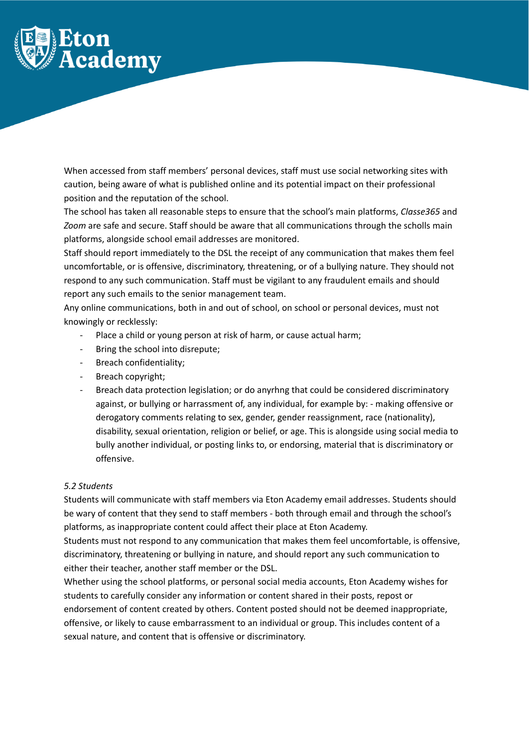

When accessed from staff members' personal devices, staff must use social networking sites with caution, being aware of what is published online and its potential impact on their professional position and the reputation of the school.

The school has taken all reasonable steps to ensure that the school's main platforms, *Classe365* and *Zoom* are safe and secure. Staff should be aware that all communications through the scholls main platforms, alongside school email addresses are monitored.

Staff should report immediately to the DSL the receipt of any communication that makes them feel uncomfortable, or is offensive, discriminatory, threatening, or of a bullying nature. They should not respond to any such communication. Staff must be vigilant to any fraudulent emails and should report any such emails to the senior management team.

Any online communications, both in and out of school, on school or personal devices, must not knowingly or recklessly:

- Place a child or young person at risk of harm, or cause actual harm;
- Bring the school into disrepute;
- Breach confidentiality;
- Breach copyright;
- Breach data protection legislation; or do anyrhng that could be considered discriminatory against, or bullying or harrassment of, any individual, for example by: - making offensive or derogatory comments relating to sex, gender, gender reassignment, race (nationality), disability, sexual orientation, religion or belief, or age. This is alongside using social media to bully another individual, or posting links to, or endorsing, material that is discriminatory or offensive.

#### *5.2 Students*

Students will communicate with staff members via Eton Academy email addresses. Students should be wary of content that they send to staff members - both through email and through the school's platforms, as inappropriate content could affect their place at Eton Academy.

Students must not respond to any communication that makes them feel uncomfortable, is offensive, discriminatory, threatening or bullying in nature, and should report any such communication to either their teacher, another staff member or the DSL.

Whether using the school platforms, or personal social media accounts, Eton Academy wishes for students to carefully consider any information or content shared in their posts, repost or endorsement of content created by others. Content posted should not be deemed inappropriate, offensive, or likely to cause embarrassment to an individual or group. This includes content of a sexual nature, and content that is offensive or discriminatory.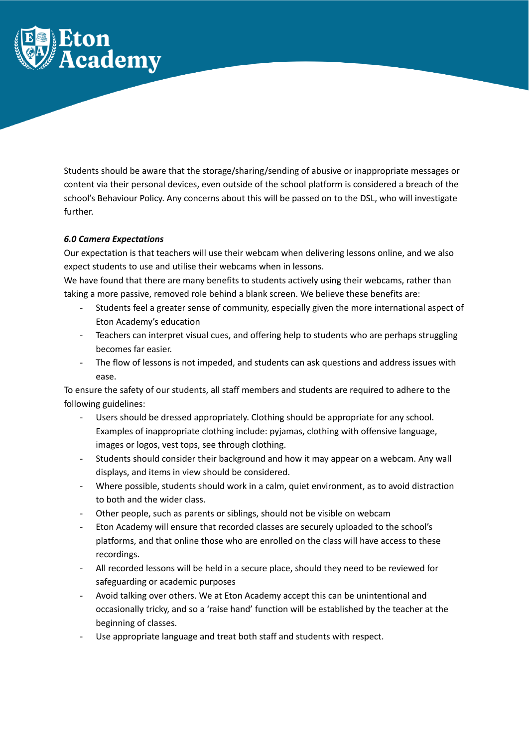

Students should be aware that the storage/sharing/sending of abusive or inappropriate messages or content via their personal devices, even outside of the school platform is considered a breach of the school's Behaviour Policy. Any concerns about this will be passed on to the DSL, who will investigate further.

# *6.0 Camera Expectations*

Our expectation is that teachers will use their webcam when delivering lessons online, and we also expect students to use and utilise their webcams when in lessons.

We have found that there are many benefits to students actively using their webcams, rather than taking a more passive, removed role behind a blank screen. We believe these benefits are:

- Students feel a greater sense of community, especially given the more international aspect of Eton Academy's education
- Teachers can interpret visual cues, and offering help to students who are perhaps struggling becomes far easier.
- The flow of lessons is not impeded, and students can ask questions and address issues with ease.

To ensure the safety of our students, all staff members and students are required to adhere to the following guidelines:

- Users should be dressed appropriately. Clothing should be appropriate for any school. Examples of inappropriate clothing include: pyjamas, clothing with offensive language, images or logos, vest tops, see through clothing.
- Students should consider their background and how it may appear on a webcam. Any wall displays, and items in view should be considered.
- Where possible, students should work in a calm, quiet environment, as to avoid distraction to both and the wider class.
- Other people, such as parents or siblings, should not be visible on webcam
- Eton Academy will ensure that recorded classes are securely uploaded to the school's platforms, and that online those who are enrolled on the class will have access to these recordings.
- All recorded lessons will be held in a secure place, should they need to be reviewed for safeguarding or academic purposes
- Avoid talking over others. We at Eton Academy accept this can be unintentional and occasionally tricky, and so a 'raise hand' function will be established by the teacher at the beginning of classes.
- Use appropriate language and treat both staff and students with respect.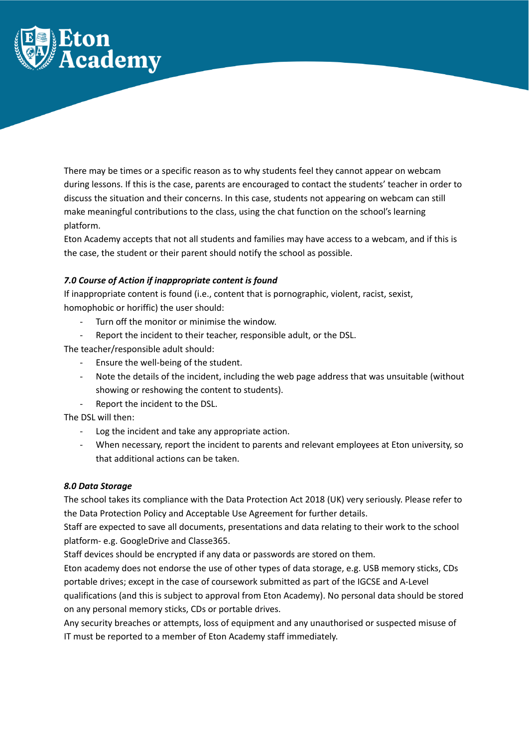

There may be times or a specific reason as to why students feel they cannot appear on webcam during lessons. If this is the case, parents are encouraged to contact the students' teacher in order to discuss the situation and their concerns. In this case, students not appearing on webcam can still make meaningful contributions to the class, using the chat function on the school's learning platform.

Eton Academy accepts that not all students and families may have access to a webcam, and if this is the case, the student or their parent should notify the school as possible.

# *7.0 Course of Action if inappropriate content is found*

If inappropriate content is found (i.e., content that is pornographic, violent, racist, sexist, homophobic or horiffic) the user should:

- Turn off the monitor or minimise the window.
- Report the incident to their teacher, responsible adult, or the DSL.

The teacher/responsible adult should:

- Ensure the well-being of the student.
- Note the details of the incident, including the web page address that was unsuitable (without showing or reshowing the content to students).
- Report the incident to the DSL.

The DSL will then:

- Log the incident and take any appropriate action.
- When necessary, report the incident to parents and relevant employees at Eton university, so that additional actions can be taken.

#### *8.0 Data Storage*

The school takes its compliance with the Data Protection Act 2018 (UK) very seriously. Please refer to the Data Protection Policy and Acceptable Use Agreement for further details.

Staff are expected to save all documents, presentations and data relating to their work to the school platform- e.g. GoogleDrive and Classe365.

Staff devices should be encrypted if any data or passwords are stored on them.

Eton academy does not endorse the use of other types of data storage, e.g. USB memory sticks, CDs portable drives; except in the case of coursework submitted as part of the IGCSE and A-Level

qualifications (and this is subject to approval from Eton Academy). No personal data should be stored on any personal memory sticks, CDs or portable drives.

Any security breaches or attempts, loss of equipment and any unauthorised or suspected misuse of IT must be reported to a member of Eton Academy staff immediately.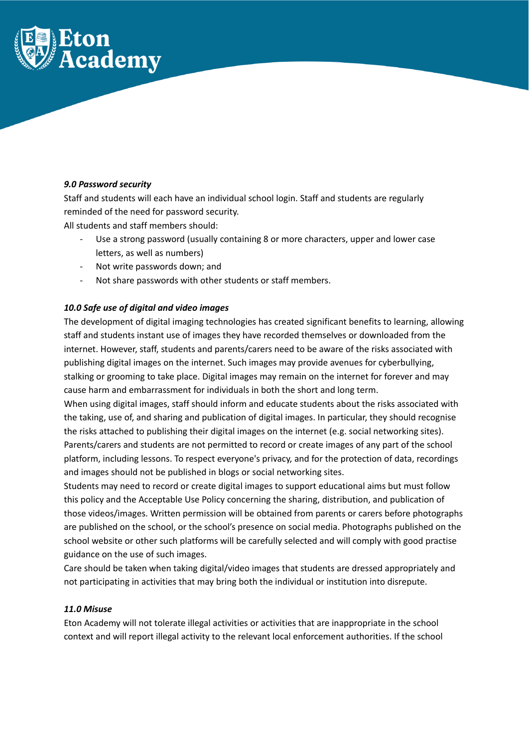

# *9.0 Password security*

Staff and students will each have an individual school login. Staff and students are regularly reminded of the need for password security.

All students and staff members should:

- Use a strong password (usually containing 8 or more characters, upper and lower case letters, as well as numbers)
- Not write passwords down; and
- Not share passwords with other students or staff members.

# *10.0 Safe use of digital and video images*

The development of digital imaging technologies has created significant benefits to learning, allowing staff and students instant use of images they have recorded themselves or downloaded from the internet. However, staff, students and parents/carers need to be aware of the risks associated with publishing digital images on the internet. Such images may provide avenues for cyberbullying, stalking or grooming to take place. Digital images may remain on the internet for forever and may cause harm and embarrassment for individuals in both the short and long term.

When using digital images, staff should inform and educate students about the risks associated with the taking, use of, and sharing and publication of digital images. In particular, they should recognise the risks attached to publishing their digital images on the internet (e.g. social networking sites). Parents/carers and students are not permitted to record or create images of any part of the school platform, including lessons. To respect everyone's privacy, and for the protection of data, recordings and images should not be published in blogs or social networking sites.

Students may need to record or create digital images to support educational aims but must follow this policy and the Acceptable Use Policy concerning the sharing, distribution, and publication of those videos/images. Written permission will be obtained from parents or carers before photographs are published on the school, or the school's presence on social media. Photographs published on the school website or other such platforms will be carefully selected and will comply with good practise guidance on the use of such images.

Care should be taken when taking digital/video images that students are dressed appropriately and not participating in activities that may bring both the individual or institution into disrepute.

#### *11.0 Misuse*

Eton Academy will not tolerate illegal activities or activities that are inappropriate in the school context and will report illegal activity to the relevant local enforcement authorities. If the school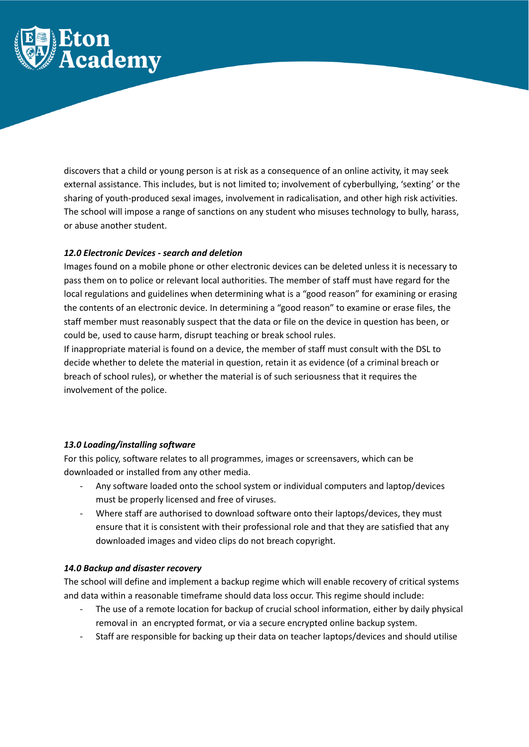

discovers that a child or young person is at risk as a consequence of an online activity, it may seek external assistance. This includes, but is not limited to; involvement of cyberbullying, 'sexting' or the sharing of youth-produced sexal images, involvement in radicalisation, and other high risk activities. The school will impose a range of sanctions on any student who misuses technology to bully, harass, or abuse another student.

#### *12.0 Electronic Devices - search and deletion*

Images found on a mobile phone or other electronic devices can be deleted unless it is necessary to pass them on to police or relevant local authorities. The member of staff must have regard for the local regulations and guidelines when determining what is a "good reason" for examining or erasing the contents of an electronic device. In determining a "good reason" to examine or erase files, the staff member must reasonably suspect that the data or file on the device in question has been, or could be, used to cause harm, disrupt teaching or break school rules.

If inappropriate material is found on a device, the member of staff must consult with the DSL to decide whether to delete the material in question, retain it as evidence (of a criminal breach or breach of school rules), or whether the material is of such seriousness that it requires the involvement of the police.

#### *13.0 Loading/installing software*

For this policy, software relates to all programmes, images or screensavers, which can be downloaded or installed from any other media.

- Any software loaded onto the school system or individual computers and laptop/devices must be properly licensed and free of viruses.
- Where staff are authorised to download software onto their laptops/devices, they must ensure that it is consistent with their professional role and that they are satisfied that any downloaded images and video clips do not breach copyright.

#### *14.0 Backup and disaster recovery*

The school will define and implement a backup regime which will enable recovery of critical systems and data within a reasonable timeframe should data loss occur. This regime should include:

- The use of a remote location for backup of crucial school information, either by daily physical removal in an encrypted format, or via a secure encrypted online backup system.
- Staff are responsible for backing up their data on teacher laptops/devices and should utilise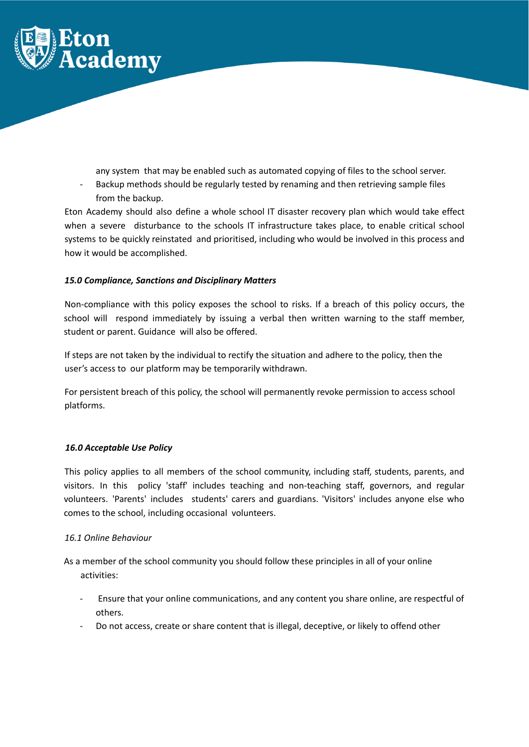

any system that may be enabled such as automated copying of files to the school server.

- Backup methods should be regularly tested by renaming and then retrieving sample files from the backup.

Eton Academy should also define a whole school IT disaster recovery plan which would take effect when a severe disturbance to the schools IT infrastructure takes place, to enable critical school systems to be quickly reinstated and prioritised, including who would be involved in this process and how it would be accomplished.

# *15.0 Compliance, Sanctions and Disciplinary Matters*

Non-compliance with this policy exposes the school to risks. If a breach of this policy occurs, the school will respond immediately by issuing a verbal then written warning to the staff member, student or parent. Guidance will also be offered.

If steps are not taken by the individual to rectify the situation and adhere to the policy, then the user's access to our platform may be temporarily withdrawn.

For persistent breach of this policy, the school will permanently revoke permission to access school platforms.

# *16.0 Acceptable Use Policy*

This policy applies to all members of the school community, including staff, students, parents, and visitors. In this policy 'staff' includes teaching and non-teaching staff, governors, and regular volunteers. 'Parents' includes students' carers and guardians. 'Visitors' includes anyone else who comes to the school, including occasional volunteers.

#### *16.1 Online Behaviour*

As a member of the school community you should follow these principles in all of your online activities:

- Ensure that your online communications, and any content you share online, are respectful of others.
- Do not access, create or share content that is illegal, deceptive, or likely to offend other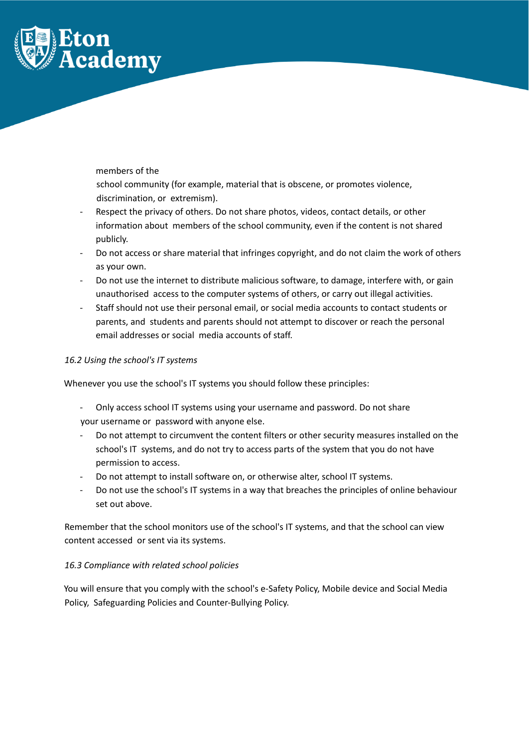

members of the

school community (for example, material that is obscene, or promotes violence, discrimination, or extremism).

- Respect the privacy of others. Do not share photos, videos, contact details, or other information about members of the school community, even if the content is not shared publicly.
- Do not access or share material that infringes copyright, and do not claim the work of others as your own.
- Do not use the internet to distribute malicious software, to damage, interfere with, or gain unauthorised access to the computer systems of others, or carry out illegal activities.
- Staff should not use their personal email, or social media accounts to contact students or parents, and students and parents should not attempt to discover or reach the personal email addresses or social media accounts of staff.

# *16.2 Using the school's IT systems*

Whenever you use the school's IT systems you should follow these principles:

- Only access school IT systems using your username and password. Do not share your username or password with anyone else.
- Do not attempt to circumvent the content filters or other security measures installed on the school's IT systems, and do not try to access parts of the system that you do not have permission to access.
- Do not attempt to install software on, or otherwise alter, school IT systems.
- Do not use the school's IT systems in a way that breaches the principles of online behaviour set out above.

Remember that the school monitors use of the school's IT systems, and that the school can view content accessed or sent via its systems.

# *16.3 Compliance with related school policies*

You will ensure that you comply with the school's e-Safety Policy, Mobile device and Social Media Policy, Safeguarding Policies and Counter-Bullying Policy.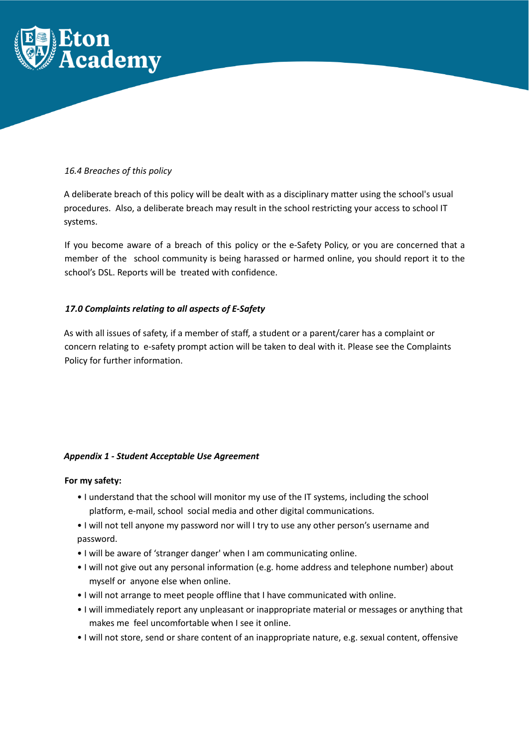

# *16.4 Breaches of this policy*

A deliberate breach of this policy will be dealt with as a disciplinary matter using the school's usual procedures. Also, a deliberate breach may result in the school restricting your access to school IT systems.

If you become aware of a breach of this policy or the e-Safety Policy, or you are concerned that a member of the school community is being harassed or harmed online, you should report it to the school's DSL. Reports will be treated with confidence.

# *17.0 Complaints relating to all aspects of E-Safety*

As with all issues of safety, if a member of staff, a student or a parent/carer has a complaint or concern relating to e-safety prompt action will be taken to deal with it. Please see the Complaints Policy for further information.

# *Appendix 1 - Student Acceptable Use Agreement*

#### **For my safety:**

- I understand that the school will monitor my use of the IT systems, including the school platform, e-mail, school social media and other digital communications.
- I will not tell anyone my password nor will I try to use any other person's username and password.
- I will be aware of 'stranger danger' when I am communicating online.
- I will not give out any personal information (e.g. home address and telephone number) about myself or anyone else when online.
- I will not arrange to meet people offline that I have communicated with online.
- I will immediately report any unpleasant or inappropriate material or messages or anything that makes me feel uncomfortable when I see it online.
- I will not store, send or share content of an inappropriate nature, e.g. sexual content, offensive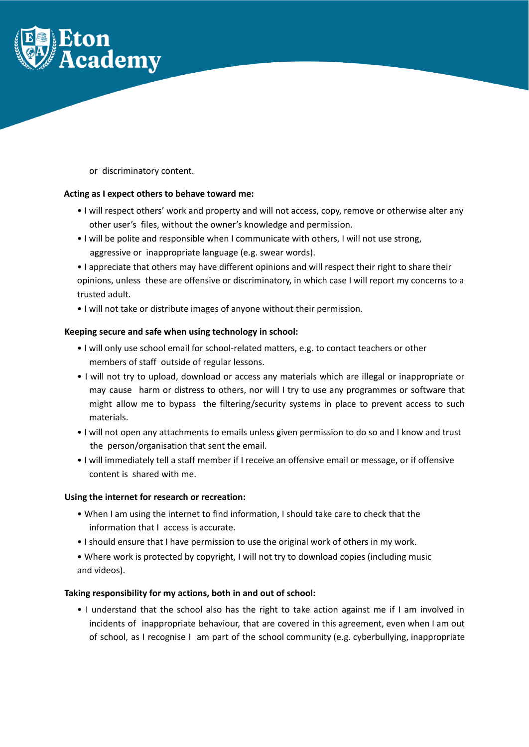

or discriminatory content.

#### **Acting as I expect others to behave toward me:**

- I will respect others' work and property and will not access, copy, remove or otherwise alter any other user's files, without the owner's knowledge and permission.
- I will be polite and responsible when I communicate with others, I will not use strong, aggressive or inappropriate language (e.g. swear words).
- I appreciate that others may have different opinions and will respect their right to share their opinions, unless these are offensive or discriminatory, in which case I will report my concerns to a trusted adult.
- I will not take or distribute images of anyone without their permission.

# **Keeping secure and safe when using technology in school:**

- I will only use school email for school-related matters, e.g. to contact teachers or other members of staff outside of regular lessons.
- I will not try to upload, download or access any materials which are illegal or inappropriate or may cause harm or distress to others, nor will I try to use any programmes or software that might allow me to bypass the filtering/security systems in place to prevent access to such materials.
- I will not open any attachments to emails unless given permission to do so and I know and trust the person/organisation that sent the email.
- I will immediately tell a staff member if I receive an offensive email or message, or if offensive content is shared with me.

#### **Using the internet for research or recreation:**

- When I am using the internet to find information, I should take care to check that the information that I access is accurate.
- I should ensure that I have permission to use the original work of others in my work.
- Where work is protected by copyright, I will not try to download copies (including music and videos).

#### **Taking responsibility for my actions, both in and out of school:**

• I understand that the school also has the right to take action against me if I am involved in incidents of inappropriate behaviour, that are covered in this agreement, even when I am out of school, as I recognise I am part of the school community (e.g. cyberbullying, inappropriate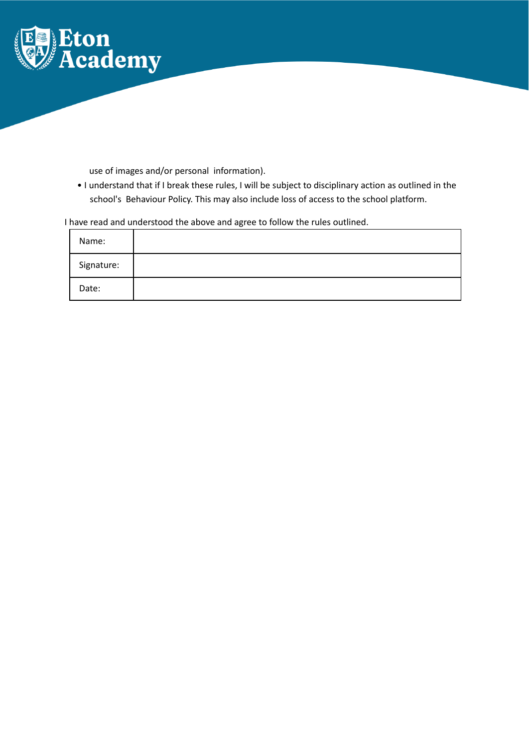

use of images and/or personal information).

• I understand that if I break these rules, I will be subject to disciplinary action as outlined in the school's Behaviour Policy. This may also include loss of access to the school platform.

# I have read and understood the above and agree to follow the rules outlined.

| Name:      |  |
|------------|--|
| Signature: |  |
| Date:      |  |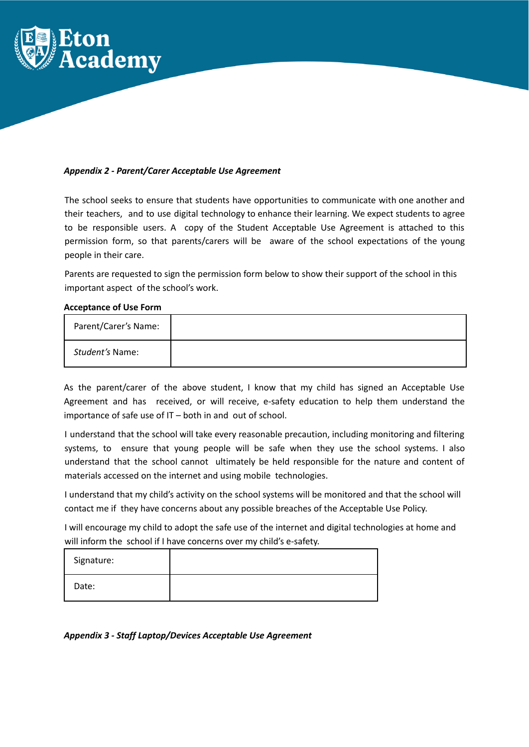

#### *Appendix 2 - Parent/Carer Acceptable Use Agreement*

The school seeks to ensure that students have opportunities to communicate with one another and their teachers, and to use digital technology to enhance their learning. We expect students to agree to be responsible users. A copy of the Student Acceptable Use Agreement is attached to this permission form, so that parents/carers will be aware of the school expectations of the young people in their care.

Parents are requested to sign the permission form below to show their support of the school in this important aspect of the school's work.

#### **Acceptance of Use Form**

| Parent/Carer's Name: |  |
|----------------------|--|
| Student's Name:      |  |

As the parent/carer of the above student, I know that my child has signed an Acceptable Use Agreement and has received, or will receive, e-safety education to help them understand the importance of safe use of IT – both in and out of school.

I understand that the school will take every reasonable precaution, including monitoring and filtering systems, to ensure that young people will be safe when they use the school systems. I also understand that the school cannot ultimately be held responsible for the nature and content of materials accessed on the internet and using mobile technologies.

I understand that my child's activity on the school systems will be monitored and that the school will contact me if they have concerns about any possible breaches of the Acceptable Use Policy.

I will encourage my child to adopt the safe use of the internet and digital technologies at home and will inform the school if I have concerns over my child's e-safety.

| Signature: |  |
|------------|--|
| Date:      |  |

# *Appendix 3 - Staff Laptop/Devices Acceptable Use Agreement*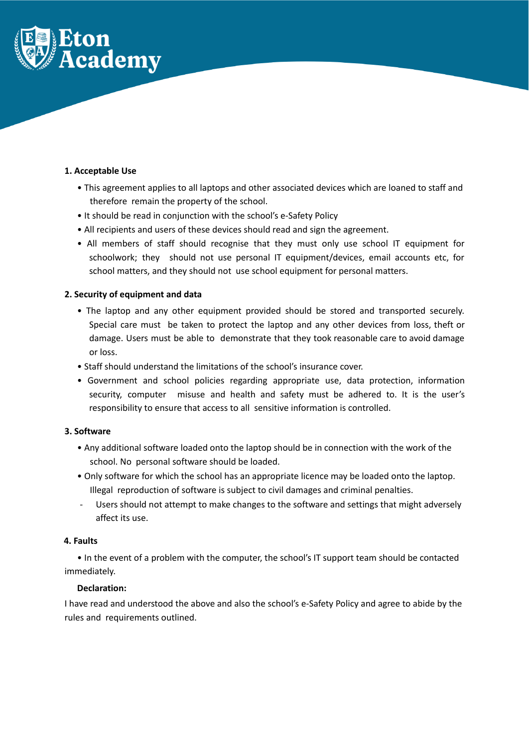

## **1. Acceptable Use**

- This agreement applies to all laptops and other associated devices which are loaned to staff and therefore remain the property of the school.
- It should be read in conjunction with the school's e-Safety Policy
- All recipients and users of these devices should read and sign the agreement.
- All members of staff should recognise that they must only use school IT equipment for schoolwork; they should not use personal IT equipment/devices, email accounts etc, for school matters, and they should not use school equipment for personal matters.

# **2. Security of equipment and data**

- The laptop and any other equipment provided should be stored and transported securely. Special care must be taken to protect the laptop and any other devices from loss, theft or damage. Users must be able to demonstrate that they took reasonable care to avoid damage or loss.
- Staff should understand the limitations of the school's insurance cover.
- Government and school policies regarding appropriate use, data protection, information security, computer misuse and health and safety must be adhered to. It is the user's responsibility to ensure that access to all sensitive information is controlled.

#### **3. Software**

- Any additional software loaded onto the laptop should be in connection with the work of the school. No personal software should be loaded.
- Only software for which the school has an appropriate licence may be loaded onto the laptop. Illegal reproduction of software is subject to civil damages and criminal penalties.
- Users should not attempt to make changes to the software and settings that might adversely affect its use.

#### **4. Faults**

• In the event of a problem with the computer, the school's IT support team should be contacted immediately.

#### **Declaration:**

I have read and understood the above and also the school's e-Safety Policy and agree to abide by the rules and requirements outlined.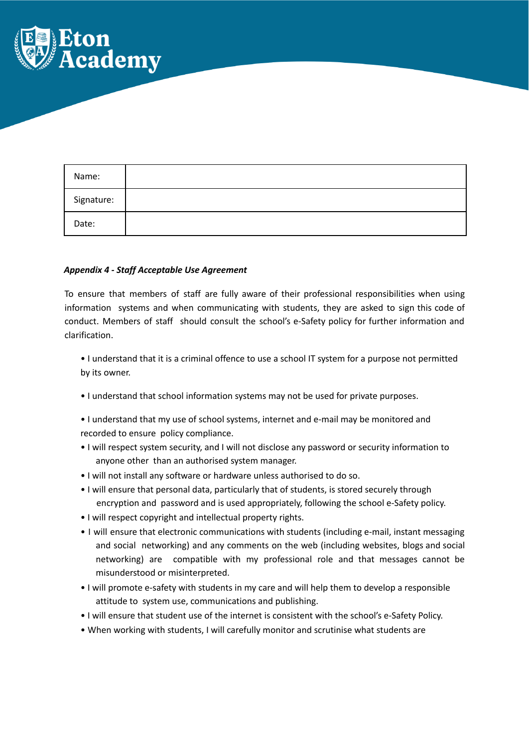

| Name:      |  |
|------------|--|
| Signature: |  |
| Date:      |  |

#### *Appendix 4 - Staff Acceptable Use Agreement*

To ensure that members of staff are fully aware of their professional responsibilities when using information systems and when communicating with students, they are asked to sign this code of conduct. Members of staff should consult the school's e-Safety policy for further information and clarification.

• I understand that it is a criminal offence to use a school IT system for a purpose not permitted by its owner.

- I understand that school information systems may not be used for private purposes.
- I understand that my use of school systems, internet and e-mail may be monitored and recorded to ensure policy compliance.
- I will respect system security, and I will not disclose any password or security information to anyone other than an authorised system manager.
- I will not install any software or hardware unless authorised to do so.
- I will ensure that personal data, particularly that of students, is stored securely through encryption and password and is used appropriately, following the school e-Safety policy.
- I will respect copyright and intellectual property rights.
- I will ensure that electronic communications with students (including e-mail, instant messaging and social networking) and any comments on the web (including websites, blogs and social networking) are compatible with my professional role and that messages cannot be misunderstood or misinterpreted.
- I will promote e-safety with students in my care and will help them to develop a responsible attitude to system use, communications and publishing.
- I will ensure that student use of the internet is consistent with the school's e-Safety Policy.
- When working with students, I will carefully monitor and scrutinise what students are